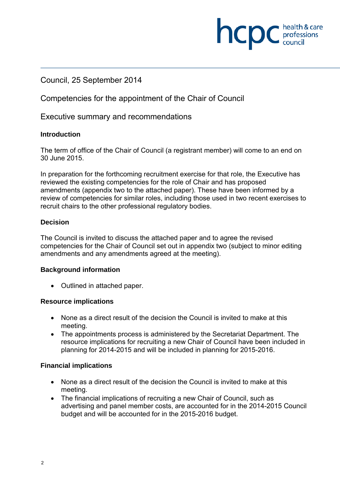# Council, 25 September 2014

Competencies for the appointment of the Chair of Council

Executive summary and recommendations

#### **Introduction**

The term of office of the Chair of Council (a registrant member) will come to an end on 30 June 2015.

**NCDC** health & care

In preparation for the forthcoming recruitment exercise for that role, the Executive has reviewed the existing competencies for the role of Chair and has proposed amendments (appendix two to the attached paper). These have been informed by a review of competencies for similar roles, including those used in two recent exercises to recruit chairs to the other professional regulatory bodies.

#### **Decision**

The Council is invited to discuss the attached paper and to agree the revised competencies for the Chair of Council set out in appendix two (subject to minor editing amendments and any amendments agreed at the meeting).

#### **Background information**

• Outlined in attached paper.

#### **Resource implications**

- None as a direct result of the decision the Council is invited to make at this meeting.
- The appointments process is administered by the Secretariat Department. The resource implications for recruiting a new Chair of Council have been included in planning for 2014-2015 and will be included in planning for 2015-2016.

## **Financial implications**

- None as a direct result of the decision the Council is invited to make at this meeting.
- The financial implications of recruiting a new Chair of Council, such as advertising and panel member costs, are accounted for in the 2014-2015 Council budget and will be accounted for in the 2015-2016 budget.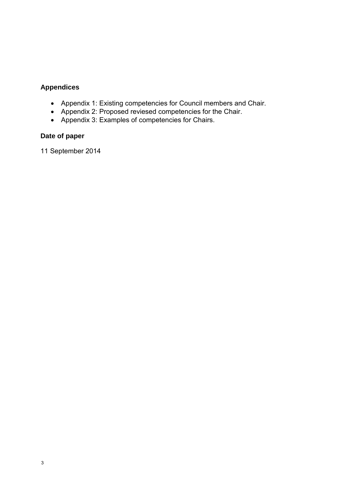# **Appendices**

- Appendix 1: Existing competencies for Council members and Chair.
- Appendix 2: Proposed reviesed competencies for the Chair.
- Appendix 3: Examples of competencies for Chairs.

# **Date of paper**

11 September 2014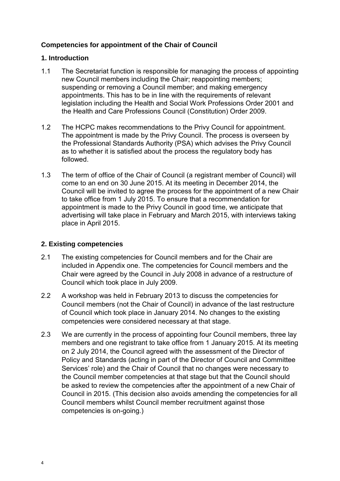## **Competencies for appointment of the Chair of Council**

#### **1. Introduction**

- 1.1 The Secretariat function is responsible for managing the process of appointing new Council members including the Chair; reappointing members; suspending or removing a Council member; and making emergency appointments. This has to be in line with the requirements of relevant legislation including the Health and Social Work Professions Order 2001 and the Health and Care Professions Council (Constitution) Order 2009.
- 1.2 The HCPC makes recommendations to the Privy Council for appointment. The appointment is made by the Privy Council. The process is overseen by the Professional Standards Authority (PSA) which advises the Privy Council as to whether it is satisfied about the process the regulatory body has followed.
- 1.3 The term of office of the Chair of Council (a registrant member of Council) will come to an end on 30 June 2015. At its meeting in December 2014, the Council will be invited to agree the process for the appointment of a new Chair to take office from 1 July 2015. To ensure that a recommendation for appointment is made to the Privy Council in good time, we anticipate that advertising will take place in February and March 2015, with interviews taking place in April 2015.

#### **2. Existing competencies**

- 2.1 The existing competencies for Council members and for the Chair are included in Appendix one. The competencies for Council members and the Chair were agreed by the Council in July 2008 in advance of a restructure of Council which took place in July 2009.
- 2.2 A workshop was held in February 2013 to discuss the competencies for Council members (not the Chair of Council) in advance of the last restructure of Council which took place in January 2014. No changes to the existing competencies were considered necessary at that stage.
- 2.3 We are currently in the process of appointing four Council members, three lay members and one registrant to take office from 1 January 2015. At its meeting on 2 July 2014, the Council agreed with the assessment of the Director of Policy and Standards (acting in part of the Director of Council and Committee Services' role) and the Chair of Council that no changes were necessary to the Council member competencies at that stage but that the Council should be asked to review the competencies after the appointment of a new Chair of Council in 2015. (This decision also avoids amending the competencies for all Council members whilst Council member recruitment against those competencies is on-going.)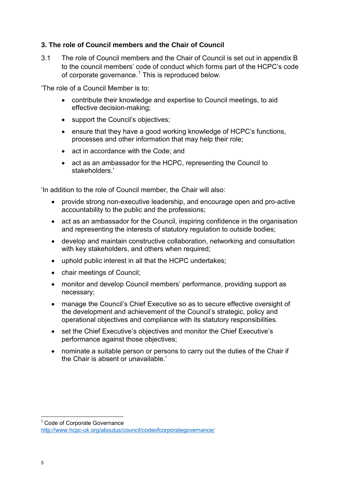### **3. The role of Council members and the Chair of Council**

3.1 The role of Council members and the Chair of Council is set out in appendix B to the council members' code of conduct which forms part of the HCPC's code of corporate governance. $1$  This is reproduced below.

'The role of a Council Member is to:

- contribute their knowledge and expertise to Council meetings, to aid effective decision-making;
- support the Council's objectives;
- ensure that they have a good working knowledge of HCPC's functions, processes and other information that may help their role;
- act in accordance with the Code; and
- act as an ambassador for the HCPC, representing the Council to stakeholders.'

'In addition to the role of Council member, the Chair will also:

- provide strong non-executive leadership, and encourage open and pro-active accountability to the public and the professions;
- act as an ambassador for the Council, inspiring confidence in the organisation and representing the interests of statutory regulation to outside bodies;
- develop and maintain constructive collaboration, networking and consultation with key stakeholders, and others when required;
- uphold public interest in all that the HCPC undertakes;
- chair meetings of Council;
- monitor and develop Council members' performance, providing support as necessary;
- manage the Council's Chief Executive so as to secure effective oversight of the development and achievement of the Council's strategic, policy and operational objectives and compliance with its statutory responsibilities.
- set the Chief Executive's objectives and monitor the Chief Executive's performance against those objectives;
- nominate a suitable person or persons to carry out the duties of the Chair if the Chair is absent or unavailable.'

 $1$  Code of Corporate Governance

**.** 

http://www.hcpc-uk.org/aboutus/council/codeofcorporategovernance/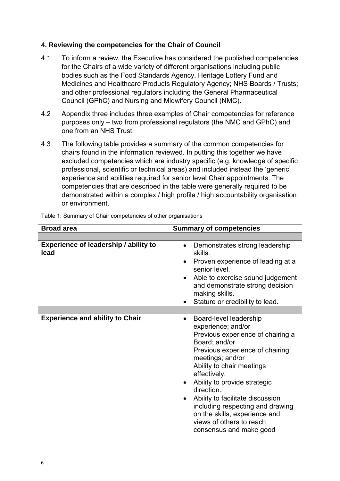### **4. Reviewing the competencies for the Chair of Council**

- 4.1 To inform a review, the Executive has considered the published competencies for the Chairs of a wide variety of different organisations including public bodies such as the Food Standards Agency, Heritage Lottery Fund and Medicines and Healthcare Products Regulatory Agency; NHS Boards / Trusts; and other professional regulators including the General Pharmaceutical Council (GPhC) and Nursing and Midwifery Council (NMC).
- 4.2 Appendix three includes three examples of Chair competencies for reference purposes only – two from professional regulators (the NMC and GPhC) and one from an NHS Trust.
- 4.3 The following table provides a summary of the common competencies for chairs found in the information reviewed. In putting this together we have excluded competencies which are industry specific (e.g. knowledge of specific professional, scientific or technical areas) and included instead the 'generic' experience and abilities required for senior level Chair appointments. The competencies that are described in the table were generally required to be demonstrated within a complex / high profile / high accountability organisation or environment.

| <b>Broad area</b>                                    | <b>Summary of competencies</b>                                                                                                                                                                                                                                                                                                                                                                                                                              |
|------------------------------------------------------|-------------------------------------------------------------------------------------------------------------------------------------------------------------------------------------------------------------------------------------------------------------------------------------------------------------------------------------------------------------------------------------------------------------------------------------------------------------|
|                                                      |                                                                                                                                                                                                                                                                                                                                                                                                                                                             |
| <b>Experience of leadership / ability to</b><br>lead | Demonstrates strong leadership<br>$\bullet$<br>skills.<br>Proven experience of leading at a<br>$\bullet$<br>senior level<br>Able to exercise sound judgement<br>$\bullet$<br>and demonstrate strong decision<br>making skills.<br>Stature or credibility to lead.<br>$\bullet$                                                                                                                                                                              |
|                                                      |                                                                                                                                                                                                                                                                                                                                                                                                                                                             |
| <b>Experience and ability to Chair</b>               | Board-level leadership<br>$\bullet$<br>experience; and/or<br>Previous experience of chairing a<br>Board; and/or<br>Previous experience of chairing<br>meetings; and/or<br>Ability to chair meetings<br>effectively.<br>Ability to provide strategic<br>$\bullet$<br>direction.<br>Ability to facilitate discussion<br>$\bullet$<br>including respecting and drawing<br>on the skills, experience and<br>views of others to reach<br>consensus and make good |

Table 1: Summary of Chair competencies of other organisations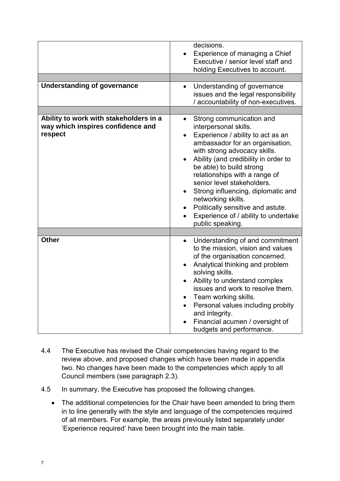|                                        | decisions.                                                       |
|----------------------------------------|------------------------------------------------------------------|
|                                        | Experience of managing a Chief                                   |
|                                        | Executive / senior level staff and                               |
|                                        | holding Executives to account.                                   |
|                                        |                                                                  |
| <b>Understanding of governance</b>     | Understanding of governance<br>$\bullet$                         |
|                                        | issues and the legal responsibility                              |
|                                        | / accountability of non-executives.                              |
|                                        |                                                                  |
| Ability to work with stakeholders in a | Strong communication and<br>$\bullet$                            |
| way which inspires confidence and      | interpersonal skills.                                            |
| respect                                | Experience / ability to act as an<br>$\bullet$                   |
|                                        | ambassador for an organisation,                                  |
|                                        | with strong advocacy skills.                                     |
|                                        | Ability (and credibility in order to<br>$\bullet$                |
|                                        | be able) to build strong<br>relationships with a range of        |
|                                        | senior level stakeholders.                                       |
|                                        | Strong influencing, diplomatic and<br>$\bullet$                  |
|                                        | networking skills.                                               |
|                                        | Politically sensitive and astute.                                |
|                                        | Experience of / ability to undertake                             |
|                                        | public speaking.                                                 |
|                                        |                                                                  |
| <b>Other</b>                           | Understanding of and commitment<br>$\bullet$                     |
|                                        | to the mission, vision and values                                |
|                                        | of the organisation concerned.                                   |
|                                        | Analytical thinking and problem<br>$\bullet$                     |
|                                        | solving skills.                                                  |
|                                        | Ability to understand complex<br>$\bullet$                       |
|                                        | issues and work to resolve them.                                 |
|                                        | Team working skills.<br>$\bullet$                                |
|                                        | Personal values including probity<br>$\bullet$<br>and integrity. |
|                                        | Financial acumen / oversight of                                  |
|                                        | budgets and performance.                                         |

- 4.4 The Executive has revised the Chair competencies having regard to the review above, and proposed changes which have been made in appendix two. No changes have been made to the competencies which apply to all Council members (see paragraph 2.3).
- 4.5 In summary, the Executive has proposed the following changes.
	- The additional competencies for the Chair have been amended to bring them in to line generally with the style and language of the competencies required of all members. For example, the areas previously listed separately under 'Experience required' have been brought into the main table.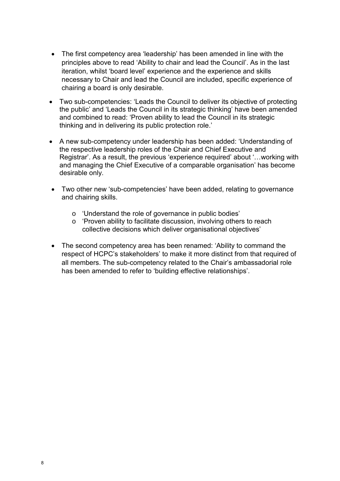- The first competency area 'leadership' has been amended in line with the principles above to read 'Ability to chair and lead the Council'. As in the last iteration, whilst 'board level' experience and the experience and skills necessary to Chair and lead the Council are included, specific experience of chairing a board is only desirable.
- Two sub-competencies: 'Leads the Council to deliver its objective of protecting the public' and 'Leads the Council in its strategic thinking' have been amended and combined to read: 'Proven ability to lead the Council in its strategic thinking and in delivering its public protection role.'
- A new sub-competency under leadership has been added: 'Understanding of the respective leadership roles of the Chair and Chief Executive and Registrar'. As a result, the previous 'experience required' about '…working with and managing the Chief Executive of a comparable organisation' has become desirable only.
- Two other new 'sub-competencies' have been added, relating to governance and chairing skills.
	- o 'Understand the role of governance in public bodies'
	- o 'Proven ability to facilitate discussion, involving others to reach collective decisions which deliver organisational objectives'
- The second competency area has been renamed: 'Ability to command the respect of HCPC's stakeholders' to make it more distinct from that required of all members. The sub-competency related to the Chair's ambassadorial role has been amended to refer to 'building effective relationships'.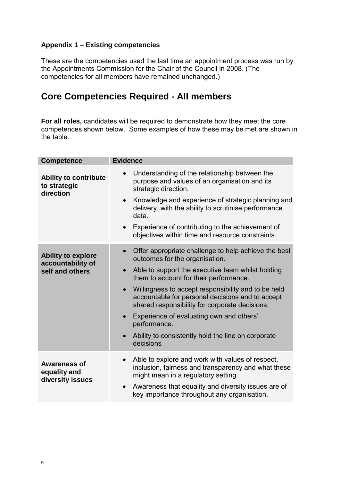## **Appendix 1 – Existing competencies**

These are the competencies used the last time an appointment process was run by the Appointments Commission for the Chair of the Council in 2008. (The competencies for all members have remained unchanged.)

# **Core Competencies Required - All members**

**For all roles,** candidates will be required to demonstrate how they meet the core competences shown below. Some examples of how these may be met are shown in the table.

| <b>Competence</b>                                                 | <b>Evidence</b>                                                                                                                                                        |
|-------------------------------------------------------------------|------------------------------------------------------------------------------------------------------------------------------------------------------------------------|
| <b>Ability to contribute</b><br>to strategic<br>direction         | Understanding of the relationship between the<br>purpose and values of an organisation and its<br>strategic direction.                                                 |
|                                                                   | Knowledge and experience of strategic planning and<br>$\bullet$<br>delivery, with the ability to scrutinise performance<br>data.                                       |
|                                                                   | Experience of contributing to the achievement of<br>$\bullet$<br>objectives within time and resource constraints.                                                      |
| <b>Ability to explore</b><br>accountability of<br>self and others | Offer appropriate challenge to help achieve the best<br>$\bullet$<br>outcomes for the organisation.                                                                    |
|                                                                   | Able to support the executive team whilst holding<br>$\bullet$<br>them to account for their performance.                                                               |
|                                                                   | Willingness to accept responsibility and to be held<br>$\bullet$<br>accountable for personal decisions and to accept<br>shared responsibility for corporate decisions. |
|                                                                   | Experience of evaluating own and others'<br>$\bullet$<br>performance.                                                                                                  |
|                                                                   | Ability to consistently hold the line on corporate<br>decisions                                                                                                        |
| Awareness of<br>equality and<br>diversity issues                  | Able to explore and work with values of respect,<br>inclusion, fairness and transparency and what these<br>might mean in a regulatory setting.                         |
|                                                                   | Awareness that equality and diversity issues are of<br>$\bullet$<br>key importance throughout any organisation.                                                        |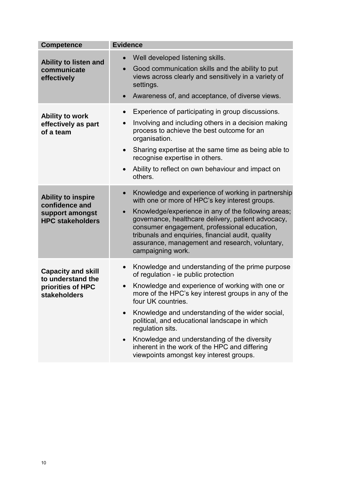| <b>Competence</b>                                                                         | <b>Evidence</b>                                                                                                                                                                                                                                                                                                                                                                                                                                                                                                         |
|-------------------------------------------------------------------------------------------|-------------------------------------------------------------------------------------------------------------------------------------------------------------------------------------------------------------------------------------------------------------------------------------------------------------------------------------------------------------------------------------------------------------------------------------------------------------------------------------------------------------------------|
| Ability to listen and<br>communicate<br>effectively                                       | Well developed listening skills.<br>Good communication skills and the ability to put<br>views across clearly and sensitively in a variety of<br>settings.<br>Awareness of, and acceptance, of diverse views.                                                                                                                                                                                                                                                                                                            |
| <b>Ability to work</b><br>effectively as part<br>of a team                                | Experience of participating in group discussions.<br>$\bullet$<br>Involving and including others in a decision making<br>$\bullet$<br>process to achieve the best outcome for an<br>organisation.<br>Sharing expertise at the same time as being able to<br>$\bullet$<br>recognise expertise in others.<br>Ability to reflect on own behaviour and impact on<br>$\bullet$<br>others.                                                                                                                                    |
| <b>Ability to inspire</b><br>confidence and<br>support amongst<br><b>HPC stakeholders</b> | Knowledge and experience of working in partnership<br>with one or more of HPC's key interest groups.<br>Knowledge/experience in any of the following areas;<br>$\bullet$<br>governance, healthcare delivery, patient advocacy,<br>consumer engagement, professional education,<br>tribunals and enquiries, financial audit, quality<br>assurance, management and research, voluntary,<br>campaigning work.                                                                                                              |
| <b>Capacity and skill</b><br>to understand the<br>priorities of HPC<br>stakeholders       | Knowledge and understanding of the prime purpose<br>$\bullet$<br>of regulation - ie public protection<br>Knowledge and experience of working with one or<br>$\bullet$<br>more of the HPC's key interest groups in any of the<br>four UK countries.<br>Knowledge and understanding of the wider social,<br>political, and educational landscape in which<br>regulation sits.<br>Knowledge and understanding of the diversity<br>inherent in the work of the HPC and differing<br>viewpoints amongst key interest groups. |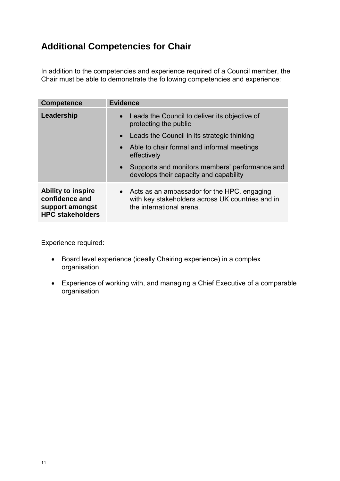# **Additional Competencies for Chair**

In addition to the competencies and experience required of a Council member, the Chair must be able to demonstrate the following competencies and experience:

| <b>Competence</b>                                                                         | <b>Evidence</b>                                                                                                               |
|-------------------------------------------------------------------------------------------|-------------------------------------------------------------------------------------------------------------------------------|
| Leadership                                                                                | • Leads the Council to deliver its objective of<br>protecting the public                                                      |
|                                                                                           | • Leads the Council in its strategic thinking                                                                                 |
|                                                                                           | • Able to chair formal and informal meetings<br>effectively                                                                   |
|                                                                                           | • Supports and monitors members' performance and<br>develops their capacity and capability                                    |
| <b>Ability to inspire</b><br>confidence and<br>support amongst<br><b>HPC stakeholders</b> | • Acts as an ambassador for the HPC, engaging<br>with key stakeholders across UK countries and in<br>the international arena. |

Experience required:

- Board level experience (ideally Chairing experience) in a complex organisation.
- Experience of working with, and managing a Chief Executive of a comparable organisation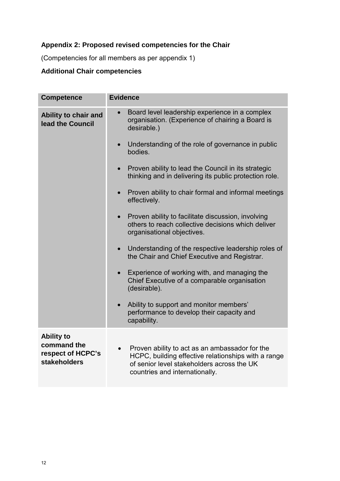# **Appendix 2: Proposed revised competencies for the Chair**

(Competencies for all members as per appendix 1)

# **Additional Chair competencies**

| <b>Competence</b>                                                            | <b>Evidence</b>                                                                                                                                                                       |  |
|------------------------------------------------------------------------------|---------------------------------------------------------------------------------------------------------------------------------------------------------------------------------------|--|
| Ability to chair and<br>lead the Council                                     | Board level leadership experience in a complex<br>organisation. (Experience of chairing a Board is<br>desirable.)                                                                     |  |
|                                                                              | Understanding of the role of governance in public<br>bodies.                                                                                                                          |  |
|                                                                              | Proven ability to lead the Council in its strategic<br>thinking and in delivering its public protection role.                                                                         |  |
|                                                                              | Proven ability to chair formal and informal meetings<br>$\bullet$<br>effectively.                                                                                                     |  |
|                                                                              | Proven ability to facilitate discussion, involving<br>others to reach collective decisions which deliver<br>organisational objectives.                                                |  |
|                                                                              | Understanding of the respective leadership roles of<br>the Chair and Chief Executive and Registrar.                                                                                   |  |
|                                                                              | Experience of working with, and managing the<br>$\bullet$<br>Chief Executive of a comparable organisation<br>(desirable).                                                             |  |
|                                                                              | Ability to support and monitor members'<br>$\bullet$<br>performance to develop their capacity and<br>capability.                                                                      |  |
| <b>Ability to</b><br>command the<br>respect of HCPC's<br><b>stakeholders</b> | Proven ability to act as an ambassador for the<br>HCPC, building effective relationships with a range<br>of senior level stakeholders across the UK<br>countries and internationally. |  |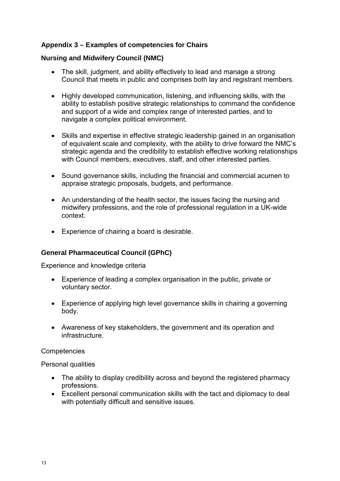## **Appendix 3 – Examples of competencies for Chairs**

## **Nursing and Midwifery Council (NMC)**

- The skill, judgment, and ability effectively to lead and manage a strong Council that meets in public and comprises both lay and registrant members.
- Highly developed communication, listening, and influencing skills, with the ability to establish positive strategic relationships to command the confidence and support of a wide and complex range of interested parties, and to navigate a complex political environment.
- Skills and expertise in effective strategic leadership gained in an organisation of equivalent scale and complexity, with the ability to drive forward the NMC's strategic agenda and the credibility to establish effective working relationships with Council members, executives, staff, and other interested parties.
- Sound governance skills, including the financial and commercial acumen to appraise strategic proposals, budgets, and performance.
- An understanding of the health sector, the issues facing the nursing and midwifery professions, and the role of professional regulation in a UK-wide context.
- Experience of chairing a board is desirable.

## **General Pharmaceutical Council (GPhC)**

Experience and knowledge criteria

- Experience of leading a complex organisation in the public, private or voluntary sector.
- Experience of applying high level governance skills in chairing a governing body.
- Awareness of key stakeholders, the government and its operation and infrastructure.

**Competencies** 

Personal qualities

- The ability to display credibility across and beyond the registered pharmacy professions.
- Excellent personal communication skills with the tact and diplomacy to deal with potentially difficult and sensitive issues.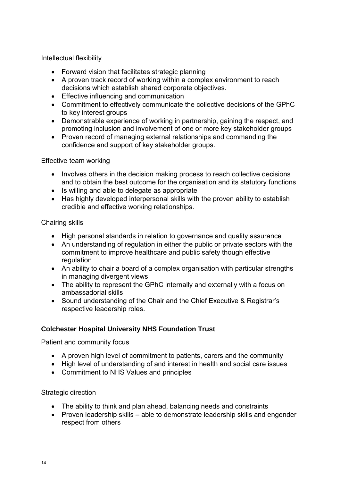Intellectual flexibility

- Forward vision that facilitates strategic planning
- A proven track record of working within a complex environment to reach decisions which establish shared corporate objectives.
- Effective influencing and communication
- Commitment to effectively communicate the collective decisions of the GPhC to key interest groups
- Demonstrable experience of working in partnership, gaining the respect, and promoting inclusion and involvement of one or more key stakeholder groups
- Proven record of managing external relationships and commanding the confidence and support of key stakeholder groups.

Effective team working

- Involves others in the decision making process to reach collective decisions and to obtain the best outcome for the organisation and its statutory functions
- Is willing and able to delegate as appropriate
- Has highly developed interpersonal skills with the proven ability to establish credible and effective working relationships.

#### Chairing skills

- High personal standards in relation to governance and quality assurance
- An understanding of regulation in either the public or private sectors with the commitment to improve healthcare and public safety though effective regulation
- An ability to chair a board of a complex organisation with particular strengths in managing divergent views
- The ability to represent the GPhC internally and externally with a focus on ambassadorial skills
- Sound understanding of the Chair and the Chief Executive & Registrar's respective leadership roles.

## **Colchester Hospital University NHS Foundation Trust**

Patient and community focus

- A proven high level of commitment to patients, carers and the community
- High level of understanding of and interest in health and social care issues
- Commitment to NHS Values and principles

## Strategic direction

- The ability to think and plan ahead, balancing needs and constraints
- Proven leadership skills able to demonstrate leadership skills and engender respect from others